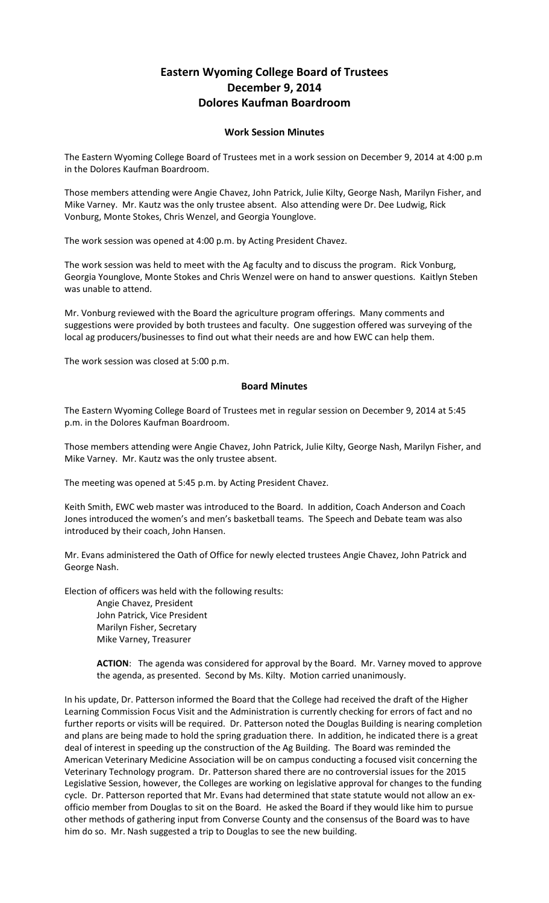## **Eastern Wyoming College Board of Trustees December 9, 2014 Dolores Kaufman Boardroom**

## **Work Session Minutes**

The Eastern Wyoming College Board of Trustees met in a work session on December 9, 2014 at 4:00 p.m in the Dolores Kaufman Boardroom.

Those members attending were Angie Chavez, John Patrick, Julie Kilty, George Nash, Marilyn Fisher, and Mike Varney. Mr. Kautz was the only trustee absent. Also attending were Dr. Dee Ludwig, Rick Vonburg, Monte Stokes, Chris Wenzel, and Georgia Younglove.

The work session was opened at 4:00 p.m. by Acting President Chavez.

The work session was held to meet with the Ag faculty and to discuss the program. Rick Vonburg, Georgia Younglove, Monte Stokes and Chris Wenzel were on hand to answer questions. Kaitlyn Steben was unable to attend.

Mr. Vonburg reviewed with the Board the agriculture program offerings. Many comments and suggestions were provided by both trustees and faculty. One suggestion offered was surveying of the local ag producers/businesses to find out what their needs are and how EWC can help them.

The work session was closed at 5:00 p.m.

## **Board Minutes**

The Eastern Wyoming College Board of Trustees met in regular session on December 9, 2014 at 5:45 p.m. in the Dolores Kaufman Boardroom.

Those members attending were Angie Chavez, John Patrick, Julie Kilty, George Nash, Marilyn Fisher, and Mike Varney. Mr. Kautz was the only trustee absent.

The meeting was opened at 5:45 p.m. by Acting President Chavez.

Keith Smith, EWC web master was introduced to the Board. In addition, Coach Anderson and Coach Jones introduced the women's and men's basketball teams. The Speech and Debate team was also introduced by their coach, John Hansen.

Mr. Evans administered the Oath of Office for newly elected trustees Angie Chavez, John Patrick and George Nash.

Election of officers was held with the following results:

Angie Chavez, President John Patrick, Vice President Marilyn Fisher, Secretary Mike Varney, Treasurer

**ACTION**: The agenda was considered for approval by the Board. Mr. Varney moved to approve the agenda, as presented. Second by Ms. Kilty. Motion carried unanimously.

In his update, Dr. Patterson informed the Board that the College had received the draft of the Higher Learning Commission Focus Visit and the Administration is currently checking for errors of fact and no further reports or visits will be required. Dr. Patterson noted the Douglas Building is nearing completion and plans are being made to hold the spring graduation there. In addition, he indicated there is a great deal of interest in speeding up the construction of the Ag Building. The Board was reminded the American Veterinary Medicine Association will be on campus conducting a focused visit concerning the Veterinary Technology program. Dr. Patterson shared there are no controversial issues for the 2015 Legislative Session, however, the Colleges are working on legislative approval for changes to the funding cycle. Dr. Patterson reported that Mr. Evans had determined that state statute would not allow an exofficio member from Douglas to sit on the Board. He asked the Board if they would like him to pursue other methods of gathering input from Converse County and the consensus of the Board was to have him do so. Mr. Nash suggested a trip to Douglas to see the new building.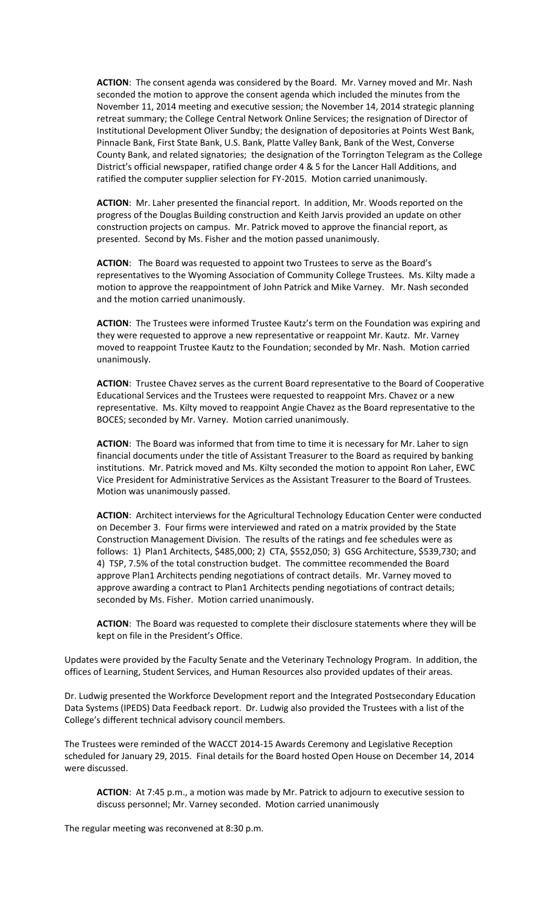**ACTION**: The consent agenda was considered by the Board. Mr. Varney moved and Mr. Nash seconded the motion to approve the consent agenda which included the minutes from the November 11, 2014 meeting and executive session; the November 14, 2014 strategic planning retreat summary; the College Central Network Online Services; the resignation of Director of Institutional Development Oliver Sundby; the designation of depositories at Points West Bank, Pinnacle Bank, First State Bank, U.S. Bank, Platte Valley Bank, Bank of the West, Converse County Bank, and related signatories; the designation of the Torrington Telegram as the College District's official newspaper, ratified change order 4 & 5 for the Lancer Hall Additions, and ratified the computer supplier selection for FY-2015. Motion carried unanimously.

**ACTION**: Mr. Laher presented the financial report. In addition, Mr. Woods reported on the progress of the Douglas Building construction and Keith Jarvis provided an update on other construction projects on campus. Mr. Patrick moved to approve the financial report, as presented. Second by Ms. Fisher and the motion passed unanimously.

**ACTION**: The Board was requested to appoint two Trustees to serve as the Board's representatives to the Wyoming Association of Community College Trustees. Ms. Kilty made a motion to approve the reappointment of John Patrick and Mike Varney. Mr. Nash seconded and the motion carried unanimously.

**ACTION**: The Trustees were informed Trustee Kautz's term on the Foundation was expiring and they were requested to approve a new representative or reappoint Mr. Kautz. Mr. Varney moved to reappoint Trustee Kautz to the Foundation; seconded by Mr. Nash. Motion carried unanimously.

**ACTION**: Trustee Chavez serves as the current Board representative to the Board of Cooperative Educational Services and the Trustees were requested to reappoint Mrs. Chavez or a new representative. Ms. Kilty moved to reappoint Angie Chavez as the Board representative to the BOCES; seconded by Mr. Varney. Motion carried unanimously.

**ACTION**: The Board was informed that from time to time it is necessary for Mr. Laher to sign financial documents under the title of Assistant Treasurer to the Board as required by banking institutions. Mr. Patrick moved and Ms. Kilty seconded the motion to appoint Ron Laher, EWC Vice President for Administrative Services as the Assistant Treasurer to the Board of Trustees. Motion was unanimously passed.

**ACTION**: Architect interviews for the Agricultural Technology Education Center were conducted on December 3. Four firms were interviewed and rated on a matrix provided by the State Construction Management Division. The results of the ratings and fee schedules were as follows: 1) Plan1 Architects, \$485,000; 2) CTA, \$552,050; 3) GSG Architecture, \$539,730; and 4) TSP, 7.5% of the total construction budget. The committee recommended the Board approve Plan1 Architects pending negotiations of contract details. Mr. Varney moved to approve awarding a contract to Plan1 Architects pending negotiations of contract details; seconded by Ms. Fisher. Motion carried unanimously.

**ACTION**: The Board was requested to complete their disclosure statements where they will be kept on file in the President's Office.

Updates were provided by the Faculty Senate and the Veterinary Technology Program. In addition, the offices of Learning, Student Services, and Human Resources also provided updates of their areas.

Dr. Ludwig presented the Workforce Development report and the Integrated Postsecondary Education Data Systems (IPEDS) Data Feedback report. Dr. Ludwig also provided the Trustees with a list of the College's different technical advisory council members.

The Trustees were reminded of the WACCT 2014-15 Awards Ceremony and Legislative Reception scheduled for January 29, 2015. Final details for the Board hosted Open House on December 14, 2014 were discussed.

**ACTION**: At 7:45 p.m., a motion was made by Mr. Patrick to adjourn to executive session to discuss personnel; Mr. Varney seconded. Motion carried unanimously

The regular meeting was reconvened at 8:30 p.m.